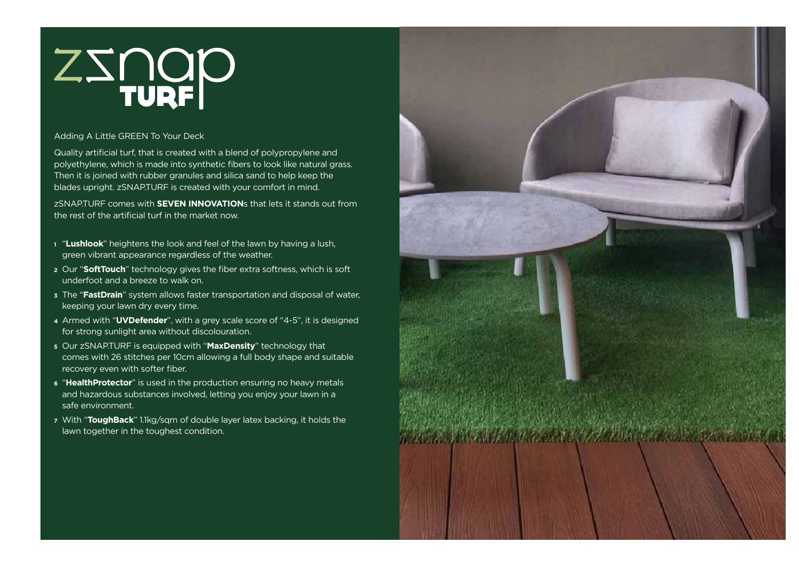# ZINOP

# Adding A Little GREEN To Your Deck

Quality artificial turf, that is created with a blend of polypropylene and polyethylene, which is made into synthetic fibers to look like natural grass. Then it is joined with rubber granules and silica sand to help keep the blades upright. zSNAP.TURF is created with your comfort in mind.

zSNAP.TURF comes with **SEVEN INNOVATION**s that lets it stands out from the rest of the artificial turf in the market now.

- **<sup>1</sup>** "**Lushlook**" heightens the look and feel of the lawn by having a lush, green vibrant appearance regardless of the weather.
- **<sup>2</sup>** Our "**SoftTouch**" technology gives the fiber extra softness, which is soft underfoot and a breeze to walk on.
- **<sup>3</sup>** The "**FastDrain**" system allows faster transportation and disposal of water, keeping your lawn dry every time.
- **<sup>4</sup>** Armed with "**UVDefender**", with a grey scale score of "4-5", it is designed for strong sunlight area without discolouration.
- **<sup>5</sup>** Our zSNAP.TURF is equipped with "**MaxDensity**" technology that comes with 26 stitches per 10cm allowing a full body shape and suitable recovery even with softer fiber.
- **<sup>6</sup>** "**HealthProtector**" is used in the production ensuring no heavy metals and hazardous substances involved, letting you enjoy your lawn in a safe environment.
- **<sup>7</sup>** With "**ToughBack**" 1.1kg/sqm of double layer latex backing, it holds the lawn together in the toughest condition.